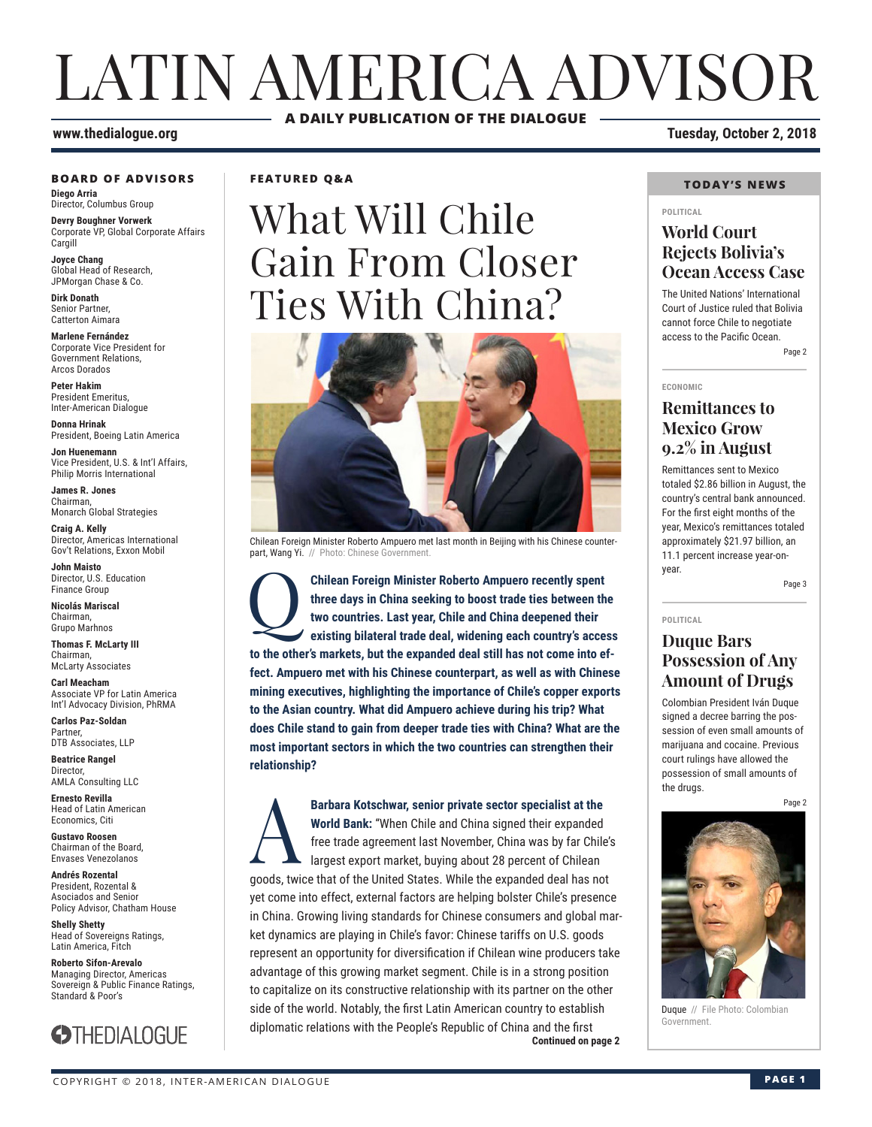## LATIN AMERICA ADVISOR **A DAILY PUBLICATION OF THE DIALOGUE**

#### **www.thedialogue.org Tuesday, October 2, 2018**

#### **BOARD OF ADVISORS**

**Diego Arria** Director, Columbus Group

**Devry Boughner Vorwerk** Corporate VP, Global Corporate Affairs Cargill

**Joyce Chang** Global Head of Research, JPMorgan Chase & Co.

**Dirk Donath** Senior Partner, Catterton Aimara

**Marlene Fernández** Corporate Vice President for Government Relations, Arcos Dorados

**Peter Hakim** President Emeritus, Inter-American Dialogue

**Donna Hrinak** President, Boeing Latin America

**Jon Huenemann** Vice President, U.S. & Int'l Affairs, Philip Morris International

**James R. Jones** Chairman, Monarch Global Strategies

**Craig A. Kelly** Director, Americas International Gov't Relations, Exxon Mobil

**John Maisto** Director, U.S. Education Finance Group

**Nicolás Mariscal** Chairman, Grupo Marhnos

**Thomas F. McLarty III** Chairman, McLarty Associates

**Carl Meacham** Associate VP for Latin America Int'l Advocacy Division, PhRMA

**Carlos Paz-Soldan** Partner, DTB Associates, LLP

**Beatrice Rangel Director** AMLA Consulting LLC

**Ernesto Revilla**  Head of Latin American Economics, Citi

**Gustavo Roosen** Chairman of the Board, Envases Venezolanos

**Andrés Rozental**  President, Rozental & Asociados and Senior Policy Advisor, Chatham House

**Shelly Shetty** Head of Sovereigns Ratings, Latin America, Fitch

**Roberto Sifon-Arevalo** Managing Director, Americas Sovereign & Public Finance Ratings, Standard & Poor's



**FEATURED Q&A**

# What Will Chile Gain From Closer Ties With China?



Chilean Foreign Minister Roberto Ampuero met last month in Beijing with his Chinese counterpart, Wang Yi. // Photo: Chinese Government

**Chilean Foreign Minister Roberto Ampuero recently spent three days in China seeking to boost trade ties between the two countries. Last year, Chile and China deepened their existing bilateral trade deal, widening each cou three days in China seeking to boost trade ties between the two countries. Last year, Chile and China deepened their existing bilateral trade deal, widening each country's access to the other's markets, but the expanded deal still has not come into effect. Ampuero met with his Chinese counterpart, as well as with Chinese mining executives, highlighting the importance of Chile's copper exports to the Asian country. What did Ampuero achieve during his trip? What does Chile stand to gain from deeper trade ties with China? What are the most important sectors in which the two countries can strengthen their relationship?**

**Continued on page 2** Barbara Kotschwar, senior private sector specialist at the **World Bank:** "When Chile and China signed their expanded free trade agreement last November, China was by far Chile<br>largest export market, buying about 28 percent **World Bank:** "When Chile and China signed their expanded free trade agreement last November, China was by far Chile's largest export market, buying about 28 percent of Chilean goods, twice that of the United States. While the expanded deal has not yet come into effect, external factors are helping bolster Chile's presence in China. Growing living standards for Chinese consumers and global market dynamics are playing in Chile's favor: Chinese tariffs on U.S. goods represent an opportunity for diversification if Chilean wine producers take advantage of this growing market segment. Chile is in a strong position to capitalize on its constructive relationship with its partner on the other side of the world. Notably, the first Latin American country to establish diplomatic relations with the People's Republic of China and the first

#### **TODAY'S NEWS**

#### **POLITICAL**

## **World Court Rejects Bolivia's Ocean Access Case**

The United Nations' International Court of Justice ruled that Bolivia cannot force Chile to negotiate access to the Pacific Ocean.

Page 2

#### **ECONOMIC**

## **Remittances to Mexico Grow 9.2% in August**

Remittances sent to Mexico totaled \$2.86 billion in August, the country's central bank announced. For the first eight months of the year, Mexico's remittances totaled approximately \$21.97 billion, an 11.1 percent increase year-onyear.

Page 3

#### **POLITICAL**

## **Duque Bars Possession of Any Amount of Drugs**

Colombian President Iván Duque signed a decree barring the possession of even small amounts of marijuana and cocaine. Previous court rulings have allowed the possession of small amounts of the drugs.

Page 2



Duque // File Photo: Colombian Government.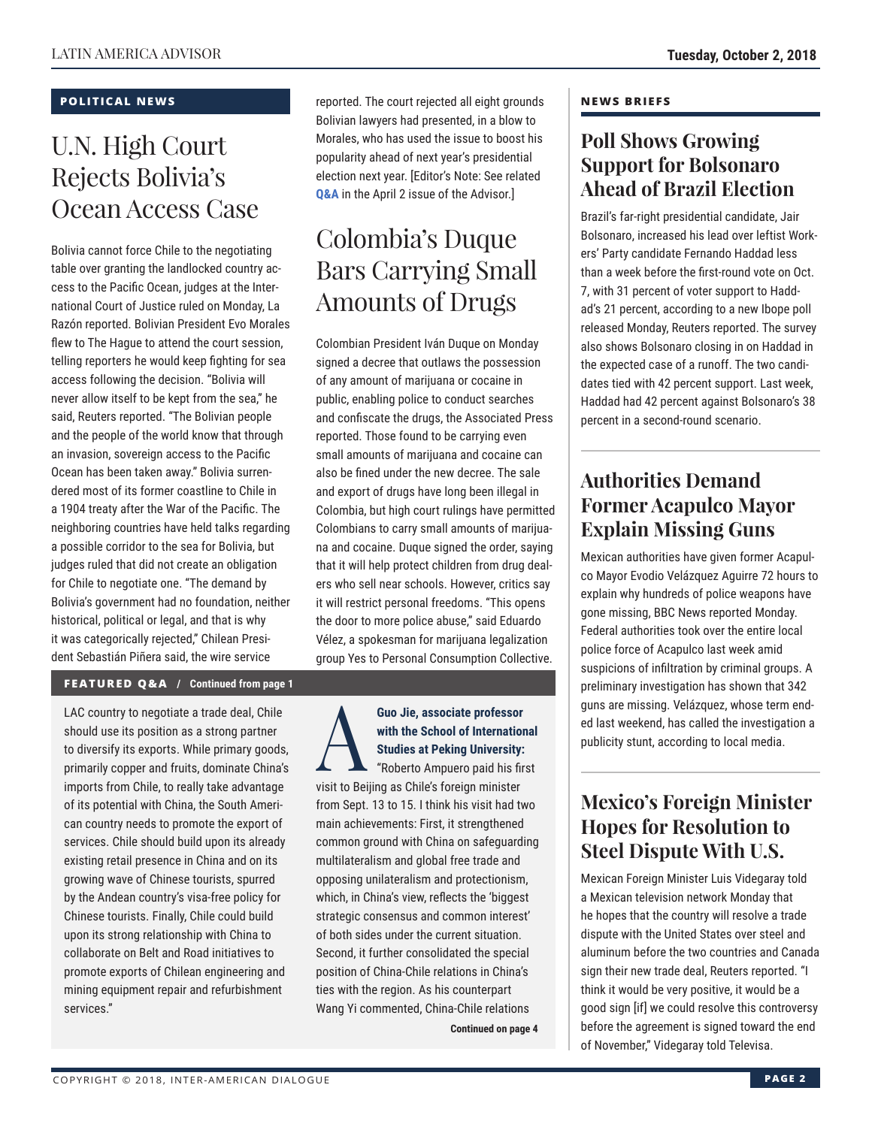## **POLITICAL NEWS**

## U.N. High Court Rejects Bolivia's Ocean Access Case

Bolivia cannot force Chile to the negotiating table over granting the landlocked country access to the Pacific Ocean, judges at the International Court of Justice ruled on Monday, La Razón reported. Bolivian President Evo Morales flew to The Hague to attend the court session, telling reporters he would keep fighting for sea access following the decision. "Bolivia will never allow itself to be kept from the sea," he said, Reuters reported. "The Bolivian people and the people of the world know that through an invasion, sovereign access to the Pacific Ocean has been taken away." Bolivia surrendered most of its former coastline to Chile in a 1904 treaty after the War of the Pacific. The neighboring countries have held talks regarding a possible corridor to the sea for Bolivia, but judges ruled that did not create an obligation for Chile to negotiate one. "The demand by Bolivia's government had no foundation, neither historical, political or legal, and that is why it was categorically rejected," Chilean President Sebastián Piñera said, the wire service

### **FEATURED Q&A / Continued from page 1**

LAC country to negotiate a trade deal, Chile should use its position as a strong partner to diversify its exports. While primary goods, primarily copper and fruits, dominate China's imports from Chile, to really take advantage of its potential with China, the South American country needs to promote the export of services. Chile should build upon its already existing retail presence in China and on its growing wave of Chinese tourists, spurred by the Andean country's visa-free policy for Chinese tourists. Finally, Chile could build upon its strong relationship with China to collaborate on Belt and Road initiatives to promote exports of Chilean engineering and mining equipment repair and refurbishment services."

reported. The court rejected all eight grounds Bolivian lawyers had presented, in a blow to Morales, who has used the issue to boost his popularity ahead of next year's presidential election next year. [Editor's Note: See related **[Q&A](http://www.thedialogue.org/wp-content/uploads/2018/04/LAA180402.pdf)** in the April 2 issue of the Advisor.]

## Colombia's Duque Bars Carrying Small Amounts of Drugs

Colombian President Iván Duque on Monday signed a decree that outlaws the possession of any amount of marijuana or cocaine in public, enabling police to conduct searches and confiscate the drugs, the Associated Press reported. Those found to be carrying even small amounts of marijuana and cocaine can also be fined under the new decree. The sale and export of drugs have long been illegal in Colombia, but high court rulings have permitted Colombians to carry small amounts of marijuana and cocaine. Duque signed the order, saying that it will help protect children from drug dealers who sell near schools. However, critics say it will restrict personal freedoms. "This opens the door to more police abuse," said Eduardo Vélez, a spokesman for marijuana legalization group Yes to Personal Consumption Collective.

Guo Jie, associate professor<br>
with the School of Internation<br>
Studies at Peking University:<br>
"Roberto Ampuero paid his fir **with the School of International Studies at Peking University:** "Roberto Ampuero paid his first visit to Beijing as Chile's foreign minister from Sept. 13 to 15. I think his visit had two main achievements: First, it strengthened common ground with China on safeguarding multilateralism and global free trade and opposing unilateralism and protectionism, which, in China's view, reflects the 'biggest strategic consensus and common interest' of both sides under the current situation. Second, it further consolidated the special position of China-Chile relations in China's ties with the region. As his counterpart Wang Yi commented, China-Chile relations

**Continued on page 4** 

#### **NEWS BRIEFS**

## **Poll Shows Growing Support for Bolsonaro Ahead of Brazil Election**

Brazil's far-right presidential candidate, Jair Bolsonaro, increased his lead over leftist Workers' Party candidate Fernando Haddad less than a week before the first-round vote on Oct. 7, with 31 percent of voter support to Haddad's 21 percent, according to a new Ibope poll released Monday, Reuters reported. The survey also shows Bolsonaro closing in on Haddad in the expected case of a runoff. The two candidates tied with 42 percent support. Last week, Haddad had 42 percent against Bolsonaro's 38 percent in a second-round scenario.

## **Authorities Demand Former Acapulco Mayor Explain Missing Guns**

Mexican authorities have given former Acapulco Mayor Evodio Velázquez Aguirre 72 hours to explain why hundreds of police weapons have gone missing, BBC News reported Monday. Federal authorities took over the entire local police force of Acapulco last week amid suspicions of infiltration by criminal groups. A preliminary investigation has shown that 342 guns are missing. Velázquez, whose term ended last weekend, has called the investigation a publicity stunt, according to local media.

## **Mexico's Foreign Minister Hopes for Resolution to Steel Dispute With U.S.**

Mexican Foreign Minister Luis Videgaray told a Mexican television network Monday that he hopes that the country will resolve a trade dispute with the United States over steel and aluminum before the two countries and Canada sign their new trade deal, Reuters reported. "I think it would be very positive, it would be a good sign [if] we could resolve this controversy before the agreement is signed toward the end of November," Videgaray told Televisa.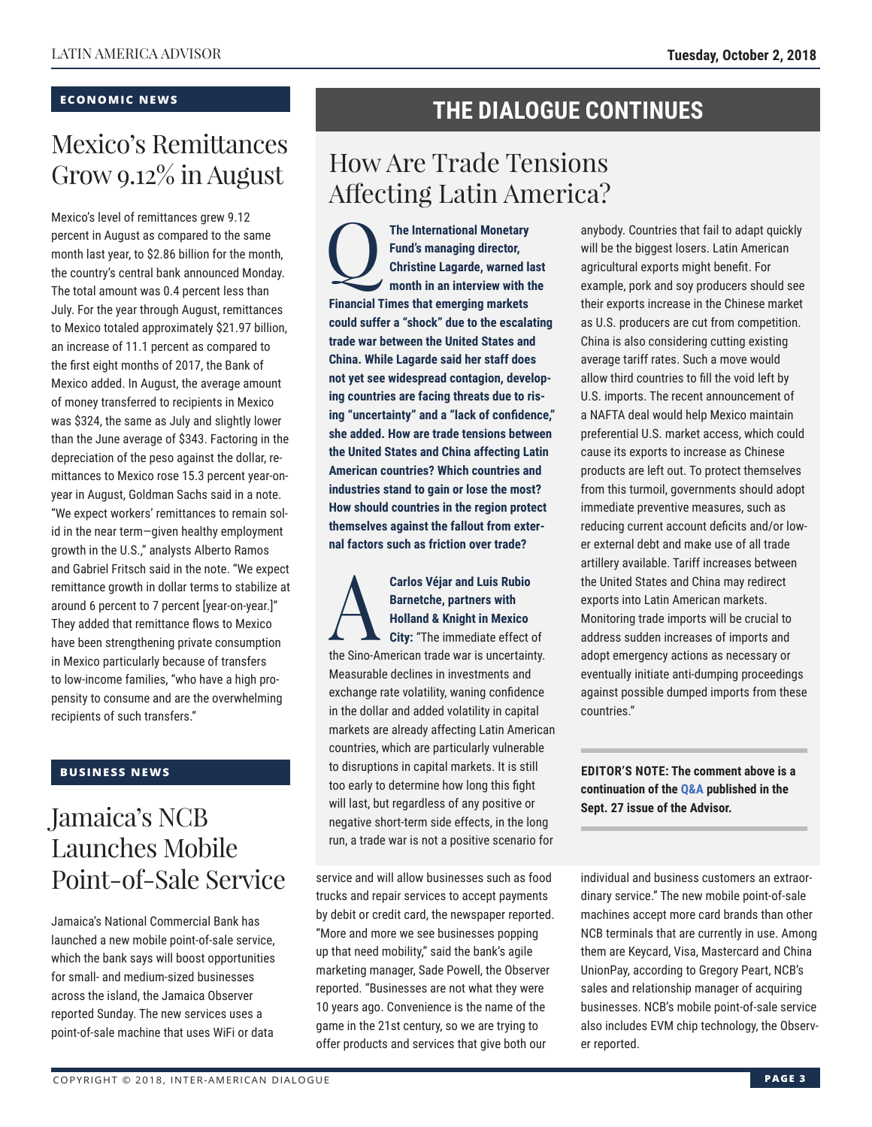## **ECONOMIC NEWS**

## Mexico's Remittances Grow 9.12% in August

Mexico's level of remittances grew 9.12 percent in August as compared to the same month last year, to \$2.86 billion for the month, the country's central bank announced Monday. The total amount was 0.4 percent less than July. For the year through August, remittances to Mexico totaled approximately \$21.97 billion, an increase of 11.1 percent as compared to the first eight months of 2017, the Bank of Mexico added. In August, the average amount of money transferred to recipients in Mexico was \$324, the same as July and slightly lower than the June average of \$343. Factoring in the depreciation of the peso against the dollar, remittances to Mexico rose 15.3 percent year-onyear in August, Goldman Sachs said in a note. "We expect workers' remittances to remain solid in the near term—given healthy employment growth in the U.S.," analysts Alberto Ramos and Gabriel Fritsch said in the note. "We expect remittance growth in dollar terms to stabilize at around 6 percent to 7 percent [year-on-year.]" They added that remittance flows to Mexico have been strengthening private consumption in Mexico particularly because of transfers to low-income families, "who have a high propensity to consume and are the overwhelming recipients of such transfers."

## **BUSINESS NEWS**

## Jamaica's NCB Launches Mobile Point-of-Sale Service

Jamaica's National Commercial Bank has launched a new mobile point-of-sale service, which the bank says will boost opportunities for small- and medium-sized businesses across the island, the Jamaica Observer reported Sunday. The new services uses a point-of-sale machine that uses WiFi or data

## **THE DIALOGUE CONTINUES**

## How Are Trade Tensions Affecting Latin America?

The International Monetary<br>Fund's managing director,<br>Christine Lagarde, warned la<br>month in an interview with t **Fund's managing director, Christine Lagarde, warned last month in an interview with the Financial Times that emerging markets could suffer a "shock" due to the escalating trade war between the United States and China. While Lagarde said her staff does not yet see widespread contagion, developing countries are facing threats due to rising "uncertainty" and a "lack of confidence," she added. How are trade tensions between the United States and China affecting Latin American countries? Which countries and industries stand to gain or lose the most? How should countries in the region protect themselves against the fallout from external factors such as friction over trade?**

## Carlos Véjar and Luis Rubio<br>Barnetche, partners with<br>Holland & Knight in Mexico<br>City: "The immediate effect of **Barnetche, partners with Holland & Knight in Mexico**

**City:** "The immediate effect of the Sino-American trade war is uncertainty. Measurable declines in investments and exchange rate volatility, waning confidence in the dollar and added volatility in capital markets are already affecting Latin American countries, which are particularly vulnerable to disruptions in capital markets. It is still too early to determine how long this fight will last, but regardless of any positive or negative short-term side effects, in the long run, a trade war is not a positive scenario for

service and will allow businesses such as food trucks and repair services to accept payments by debit or credit card, the newspaper reported. "More and more we see businesses popping up that need mobility," said the bank's agile marketing manager, Sade Powell, the Observer reported. "Businesses are not what they were 10 years ago. Convenience is the name of the game in the 21st century, so we are trying to offer products and services that give both our

anybody. Countries that fail to adapt quickly will be the biggest losers. Latin American agricultural exports might benefit. For example, pork and soy producers should see their exports increase in the Chinese market as U.S. producers are cut from competition. China is also considering cutting existing average tariff rates. Such a move would allow third countries to fill the void left by U.S. imports. The recent announcement of a NAFTA deal would help Mexico maintain preferential U.S. market access, which could cause its exports to increase as Chinese products are left out. To protect themselves from this turmoil, governments should adopt immediate preventive measures, such as reducing current account deficits and/or lower external debt and make use of all trade artillery available. Tariff increases between the United States and China may redirect exports into Latin American markets. Monitoring trade imports will be crucial to address sudden increases of imports and adopt emergency actions as necessary or eventually initiate anti-dumping proceedings against possible dumped imports from these countries."

**EDITOR'S NOTE: The comment above is a continuation of t[he Q&A pu](http://www.thedialogue.org/wp-content/uploads/2018/09/LAA180927.pdf)blished in the Sept. 27 issue of the Advisor.**

individual and business customers an extraordinary service." The new mobile point-of-sale machines accept more card brands than other NCB terminals that are currently in use. Among them are Keycard, Visa, Mastercard and China UnionPay, according to Gregory Peart, NCB's sales and relationship manager of acquiring businesses. NCB's mobile point-of-sale service also includes EVM chip technology, the Observer reported.